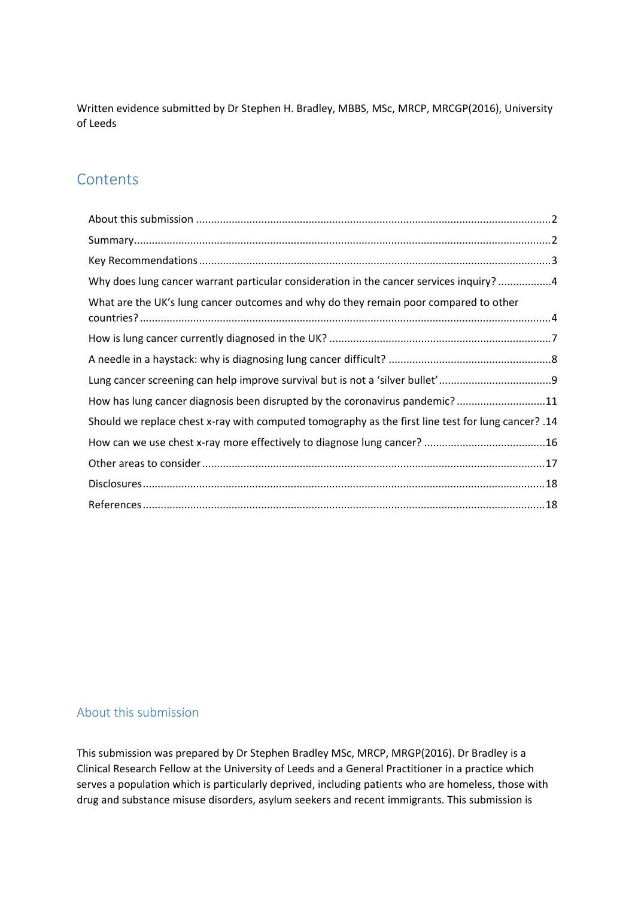Written evidence submitted by Dr Stephen H. Bradley, MBBS, MSc, MRCP, MRCGP(2016), University of Leeds

# **Contents**

| Why does lung cancer warrant particular consideration in the cancer services inquiry? 4               |
|-------------------------------------------------------------------------------------------------------|
| What are the UK's lung cancer outcomes and why do they remain poor compared to other                  |
|                                                                                                       |
|                                                                                                       |
|                                                                                                       |
| How has lung cancer diagnosis been disrupted by the coronavirus pandemic?11                           |
| 14. Should we replace chest x-ray with computed tomography as the first line test for lung cancer? 14 |
|                                                                                                       |
|                                                                                                       |
|                                                                                                       |
|                                                                                                       |

## <span id="page-0-0"></span>About this submission

This submission was prepared by Dr Stephen Bradley MSc, MRCP, MRGP(2016). Dr Bradley is a Clinical Research Fellow at the University of Leeds and a General Practitioner in a practice which serves a population which is particularly deprived, including patients who are homeless, those with drug and substance misuse disorders, asylum seekers and recent immigrants. This submission is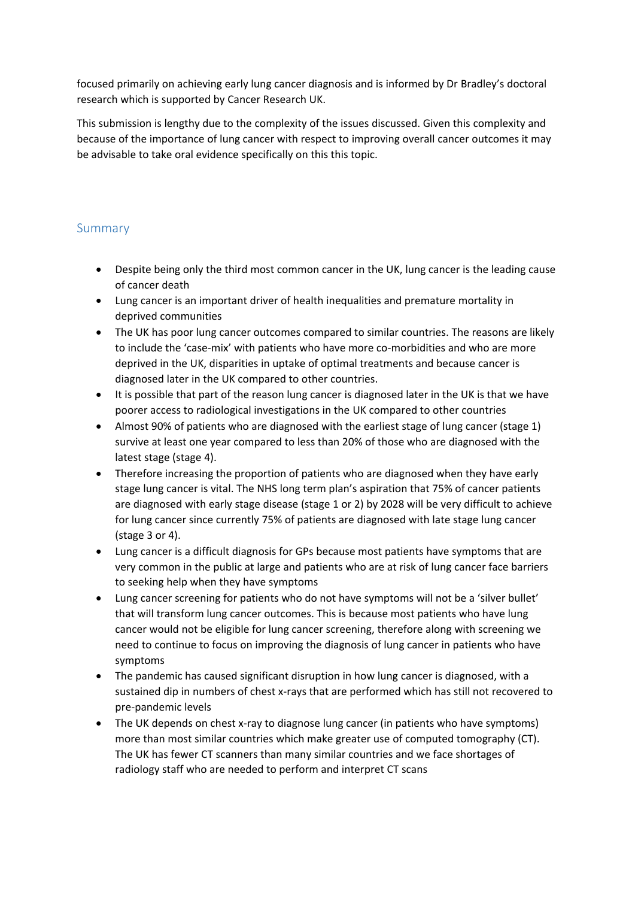focused primarily on achieving early lung cancer diagnosis and is informed by Dr Bradley's doctoral research which is supported by Cancer Research UK.

This submission is lengthy due to the complexity of the issues discussed. Given this complexity and because of the importance of lung cancer with respect to improving overall cancer outcomes it may be advisable to take oral evidence specifically on this this topic.

## <span id="page-1-0"></span>Summary

- Despite being only the third most common cancer in the UK, lung cancer is the leading cause of cancer death
- Lung cancer is an important driver of health inequalities and premature mortality in deprived communities
- The UK has poor lung cancer outcomes compared to similar countries. The reasons are likely to include the 'case-mix' with patients who have more co-morbidities and who are more deprived in the UK, disparities in uptake of optimal treatments and because cancer is diagnosed later in the UK compared to other countries.
- It is possible that part of the reason lung cancer is diagnosed later in the UK is that we have poorer access to radiological investigations in the UK compared to other countries
- Almost 90% of patients who are diagnosed with the earliest stage of lung cancer (stage 1) survive at least one year compared to less than 20% of those who are diagnosed with the latest stage (stage 4).
- Therefore increasing the proportion of patients who are diagnosed when they have early stage lung cancer is vital. The NHS long term plan's aspiration that 75% of cancer patients are diagnosed with early stage disease (stage 1 or 2) by 2028 will be very difficult to achieve for lung cancer since currently 75% of patients are diagnosed with late stage lung cancer (stage 3 or 4).
- Lung cancer is a difficult diagnosis for GPs because most patients have symptoms that are very common in the public at large and patients who are at risk of lung cancer face barriers to seeking help when they have symptoms
- Lung cancer screening for patients who do not have symptoms will not be a 'silver bullet' that will transform lung cancer outcomes. This is because most patients who have lung cancer would not be eligible for lung cancer screening, therefore along with screening we need to continue to focus on improving the diagnosis of lung cancer in patients who have symptoms
- The pandemic has caused significant disruption in how lung cancer is diagnosed, with a sustained dip in numbers of chest x-rays that are performed which has still not recovered to pre-pandemic levels
- The UK depends on chest x-ray to diagnose lung cancer (in patients who have symptoms) more than most similar countries which make greater use of computed tomography (CT). The UK has fewer CT scanners than many similar countries and we face shortages of radiology staff who are needed to perform and interpret CT scans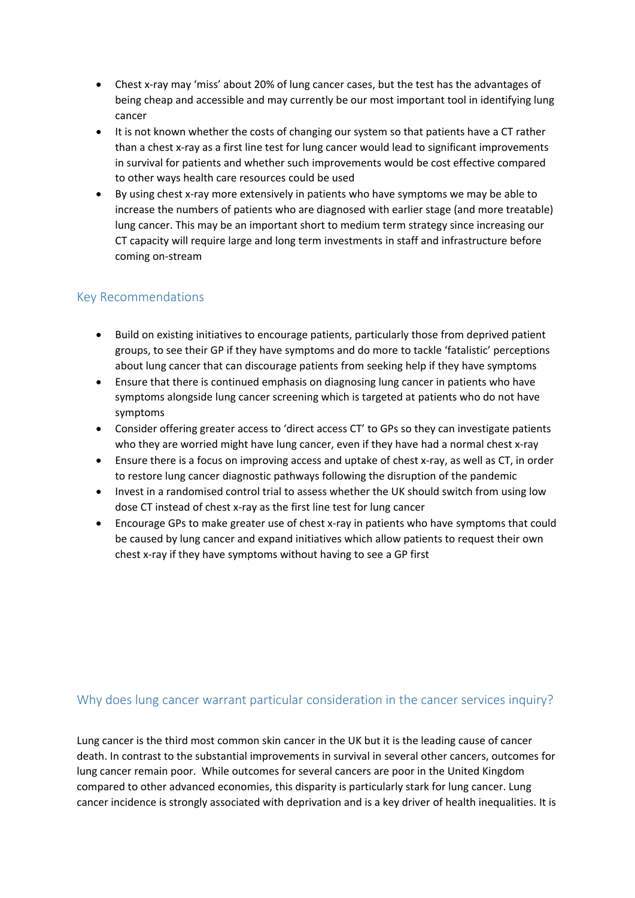- Chest x-ray may 'miss' about 20% of lung cancer cases, but the test has the advantages of being cheap and accessible and may currently be our most important tool in identifying lung cancer
- It is not known whether the costs of changing our system so that patients have a CT rather than a chest x-ray as a first line test for lung cancer would lead to significant improvements in survival for patients and whether such improvements would be cost effective compared to other ways health care resources could be used
- By using chest x-ray more extensively in patients who have symptoms we may be able to increase the numbers of patients who are diagnosed with earlier stage (and more treatable) lung cancer. This may be an important short to medium term strategy since increasing our CT capacity will require large and long term investments in staff and infrastructure before coming on-stream

## <span id="page-2-0"></span>Key Recommendations

- Build on existing initiatives to encourage patients, particularly those from deprived patient groups, to see their GP if they have symptoms and do more to tackle 'fatalistic' perceptions about lung cancer that can discourage patients from seeking help if they have symptoms
- Ensure that there is continued emphasis on diagnosing lung cancer in patients who have symptoms alongside lung cancer screening which is targeted at patients who do not have symptoms
- Consider offering greater access to 'direct access CT' to GPs so they can investigate patients who they are worried might have lung cancer, even if they have had a normal chest x-ray
- Ensure there is a focus on improving access and uptake of chest x-ray, as well as CT, in order to restore lung cancer diagnostic pathways following the disruption of the pandemic
- Invest in a randomised control trial to assess whether the UK should switch from using low dose CT instead of chest x-ray as the first line test for lung cancer
- Encourage GPs to make greater use of chest x-ray in patients who have symptoms that could be caused by lung cancer and expand initiatives which allow patients to request their own chest x-ray if they have symptoms without having to see a GP first

## <span id="page-2-1"></span>Why does lung cancer warrant particular consideration in the cancer services inquiry?

Lung cancer is the third most common skin cancer in the UK but it is the leading cause of cancer death. In contrast to the substantial improvements in survival in several other cancers, outcomes for lung cancer remain poor. While outcomes for several cancers are poor in the United Kingdom compared to other advanced economies, this disparity is particularly stark for lung cancer. Lung cancer incidence is strongly associated with deprivation and is a key driver of health inequalities. It is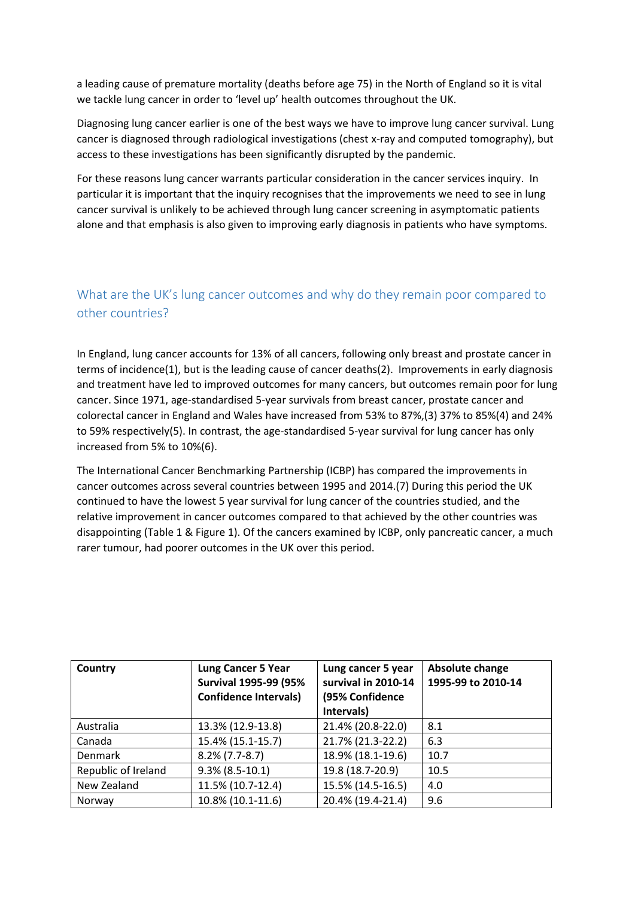a leading cause of premature mortality (deaths before age 75) in the North of England so it is vital we tackle lung cancer in order to 'level up' health outcomes throughout the UK.

Diagnosing lung cancer earlier is one of the best ways we have to improve lung cancer survival. Lung cancer is diagnosed through radiological investigations (chest x-ray and computed tomography), but access to these investigations has been significantly disrupted by the pandemic.

For these reasons lung cancer warrants particular consideration in the cancer services inquiry. In particular it is important that the inquiry recognises that the improvements we need to see in lung cancer survival is unlikely to be achieved through lung cancer screening in asymptomatic patients alone and that emphasis is also given to improving early diagnosis in patients who have symptoms.

# <span id="page-3-0"></span>What are the UK's lung cancer outcomes and why do they remain poor compared to other countries?

In England, lung cancer accounts for 13% of all cancers, following only breast and prostate cancer in terms of incidence(1), but is the leading cause of cancer deaths(2).Improvements in early diagnosis and treatment have led to improved outcomes for many cancers, but outcomes remain poor for lung cancer. Since 1971, age-standardised 5-year survivals from breast cancer, prostate cancer and colorectal cancer in England and Wales have increased from 53% to 87%,(3) 37% to 85%(4) and 24% to 59% respectively(5). In contrast, the age-standardised 5-year survival for lung cancer has only increased from 5% to 10%(6).

The International Cancer Benchmarking Partnership (ICBP) has compared the improvements in cancer outcomes across several countries between 1995 and 2014.(7) During this period the UK continued to have the lowest 5 year survival for lung cancer of the countries studied, and the relative improvement in cancer outcomes compared to that achieved by the other countries was disappointing (Table 1 & Figure 1). Of the cancers examined by ICBP, only pancreatic cancer, a much rarer tumour, had poorer outcomes in the UK over this period.

| Country             | <b>Lung Cancer 5 Year</b><br><b>Survival 1995-99 (95%</b><br><b>Confidence Intervals)</b> | Lung cancer 5 year<br>survival in 2010-14<br>(95% Confidence<br>Intervals) | Absolute change<br>1995-99 to 2010-14 |
|---------------------|-------------------------------------------------------------------------------------------|----------------------------------------------------------------------------|---------------------------------------|
| Australia           | 13.3% (12.9-13.8)                                                                         | 21.4% (20.8-22.0)                                                          | 8.1                                   |
| Canada              | 15.4% (15.1-15.7)                                                                         | 21.7% (21.3-22.2)                                                          | 6.3                                   |
| Denmark             | $8.2\%$ (7.7-8.7)                                                                         | 18.9% (18.1-19.6)                                                          | 10.7                                  |
| Republic of Ireland | $9.3\%$ (8.5-10.1)                                                                        | 19.8 (18.7-20.9)                                                           | 10.5                                  |
| New Zealand         | 11.5% (10.7-12.4)                                                                         | 15.5% (14.5-16.5)                                                          | 4.0                                   |
| Norway              | 10.8% (10.1-11.6)                                                                         | 20.4% (19.4-21.4)                                                          | 9.6                                   |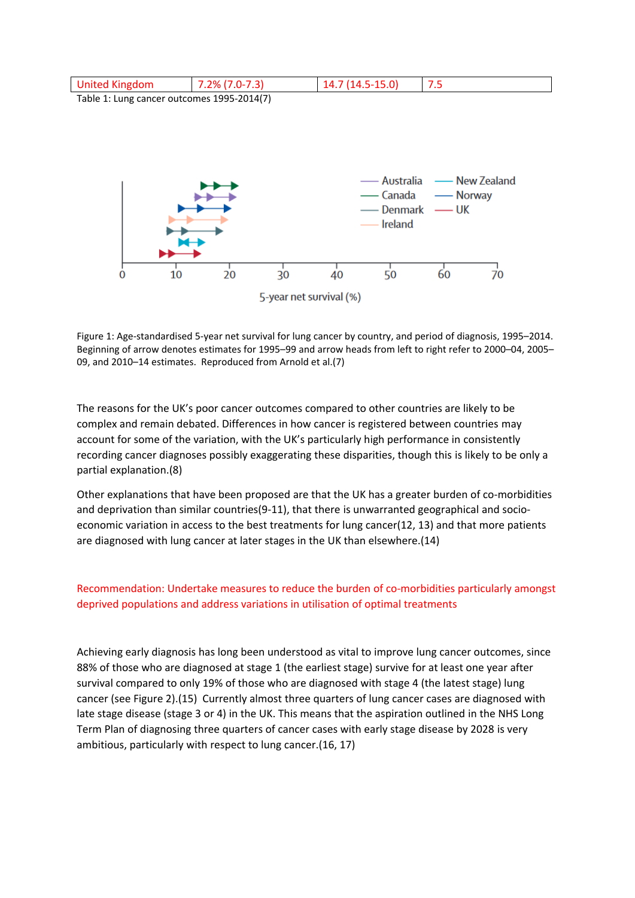| United Kingdom                             | $7.2\%$ (7.0-7.3) | 14.7 (14.5-15.0) |  |  |  |
|--------------------------------------------|-------------------|------------------|--|--|--|
| Table 1: Lung cancer outcomes 1995-2014(7) |                   |                  |  |  |  |
|                                            |                   |                  |  |  |  |
|                                            |                   |                  |  |  |  |
|                                            |                   |                  |  |  |  |



Figure 1: Age-standardised 5-year net survival for lung cancer by country, and period of diagnosis, 1995–2014. Beginning of arrow denotes estimates for 1995–99 and arrow heads from left to right refer to 2000–04, 2005– 09, and 2010–14 estimates. Reproduced from Arnold et al.(7)

The reasons for the UK's poor cancer outcomes compared to other countries are likely to be complex and remain debated. Differences in how cancer is registered between countries may account for some of the variation, with the UK's particularly high performance in consistently recording cancer diagnoses possibly exaggerating these disparities, though this is likely to be only a partial explanation.(8)

Other explanations that have been proposed are that the UK has a greater burden of co-morbidities and deprivation than similar countries(9-11), that there is unwarranted geographical and socioeconomic variation in access to the best treatments for lung cancer(12, 13) and that more patients are diagnosed with lung cancer at later stages in the UK than elsewhere.(14)

#### Recommendation: Undertake measures to reduce the burden of co-morbidities particularly amongst deprived populations and address variations in utilisation of optimal treatments

Achieving early diagnosis has long been understood as vital to improve lung cancer outcomes, since 88% of those who are diagnosed at stage 1 (the earliest stage) survive for at least one year after survival compared to only 19% of those who are diagnosed with stage 4 (the latest stage) lung cancer (see Figure 2).(15) Currently almost three quarters of lung cancer cases are diagnosed with late stage disease (stage 3 or 4) in the UK. This means that the aspiration outlined in the NHS Long Term Plan of diagnosing three quarters of cancer cases with early stage disease by 2028 is very ambitious, particularly with respect to lung cancer.(16, 17)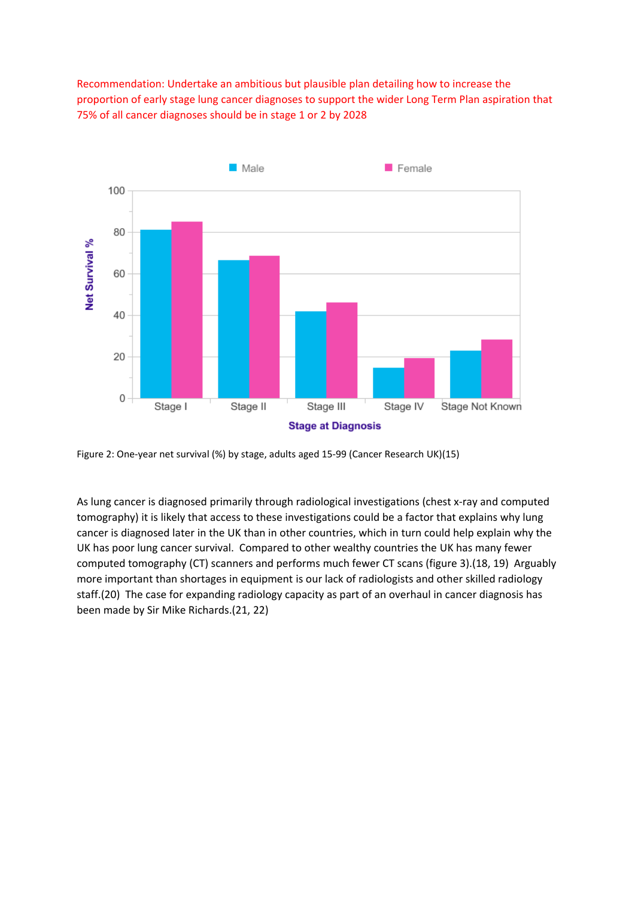Recommendation: Undertake an ambitious but plausible plan detailing how to increase the proportion of early stage lung cancer diagnoses to support the wider Long Term Plan aspiration that 75% of all cancer diagnoses should be in stage 1 or 2 by 2028



Figure 2: One-year net survival (%) by stage, adults aged 15-99 (Cancer Research UK)(15)

As lung cancer is diagnosed primarily through radiological investigations (chest x-ray and computed tomography) it is likely that access to these investigations could be a factor that explains why lung cancer is diagnosed later in the UK than in other countries, which in turn could help explain why the UK has poor lung cancer survival. Compared to other wealthy countries the UK has many fewer computed tomography (CT) scanners and performs much fewer CT scans (figure 3).(18, 19) Arguably more important than shortages in equipment is our lack of radiologists and other skilled radiology staff.(20) The case for expanding radiology capacity as part of an overhaul in cancer diagnosis has been made by Sir Mike Richards.(21, 22)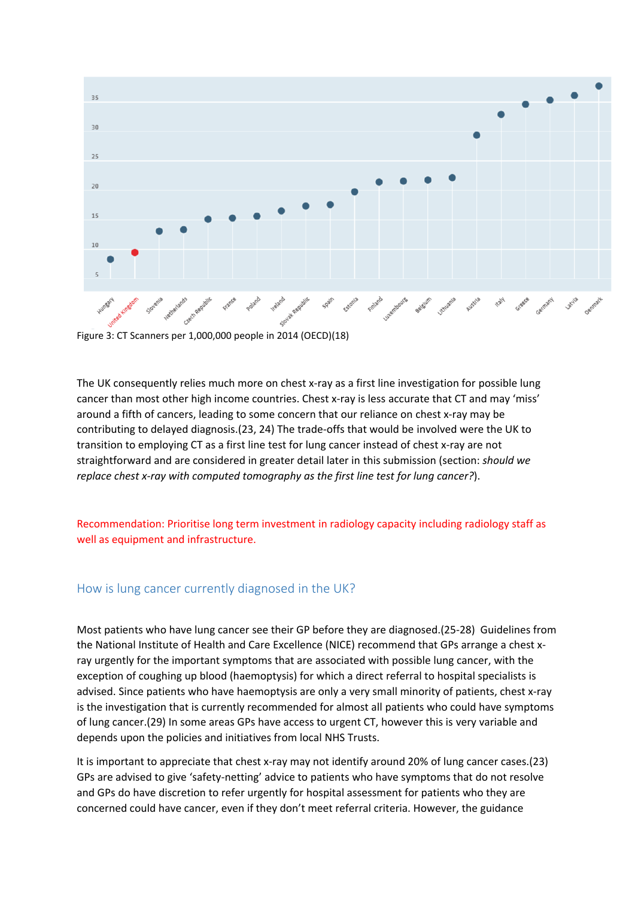

Figure 3: CT Scanners per 1,000,000 people in 2014 (OECD)(18)

The UK consequently relies much more on chest x-ray as a first line investigation for possible lung cancer than most other high income countries. Chest x-ray is less accurate that CT and may 'miss' around a fifth of cancers, leading to some concern that our reliance on chest x-ray may be contributing to delayed diagnosis.(23, 24) The trade-offs that would be involved were the UK to transition to employing CT as a first line test for lung cancer instead of chest x-ray are not straightforward and are considered in greater detail later in this submission (section: *should we replace chest x-ray with computed tomography as the first line test for lung cancer?*).

Recommendation: Prioritise long term investment in radiology capacity including radiology staff as well as equipment and infrastructure.

#### <span id="page-6-0"></span>How is lung cancer currently diagnosed in the UK?

Most patients who have lung cancer see their GP before they are diagnosed.(25-28) Guidelines from the National Institute of Health and Care Excellence (NICE) recommend that GPs arrange a chest xray urgently for the important symptoms that are associated with possible lung cancer, with the exception of coughing up blood (haemoptysis) for which a direct referral to hospital specialists is advised. Since patients who have haemoptysis are only a very small minority of patients, chest x-ray is the investigation that is currently recommended for almost all patients who could have symptoms of lung cancer.(29) In some areas GPs have access to urgent CT, however this is very variable and depends upon the policies and initiatives from local NHS Trusts.

It is important to appreciate that chest x-ray may not identify around 20% of lung cancer cases.(23) GPs are advised to give 'safety-netting' advice to patients who have symptoms that do not resolve and GPs do have discretion to refer urgently for hospital assessment for patients who they are concerned could have cancer, even if they don't meet referral criteria. However, the guidance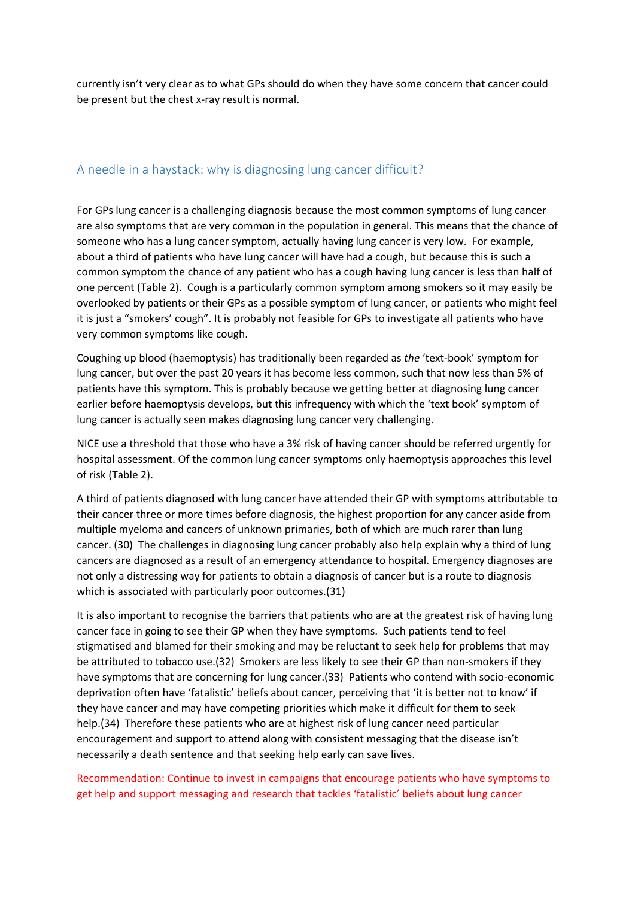currently isn't very clear as to what GPs should do when they have some concern that cancer could be present but the chest x-ray result is normal.

## <span id="page-7-0"></span>A needle in a haystack: why is diagnosing lung cancer difficult?

For GPs lung cancer is a challenging diagnosis because the most common symptoms of lung cancer are also symptoms that are very common in the population in general. This means that the chance of someone who has a lung cancer symptom, actually having lung cancer is very low. For example, about a third of patients who have lung cancer will have had a cough, but because this is such a common symptom the chance of any patient who has a cough having lung cancer is less than half of one percent (Table 2). Cough is a particularly common symptom among smokers so it may easily be overlooked by patients or their GPs as a possible symptom of lung cancer, or patients who might feel it is just a "smokers' cough". It is probably not feasible for GPs to investigate all patients who have very common symptoms like cough.

Coughing up blood (haemoptysis) has traditionally been regarded as *the* 'text-book' symptom for lung cancer, but over the past 20 years it has become less common, such that now less than 5% of patients have this symptom. This is probably because we getting better at diagnosing lung cancer earlier before haemoptysis develops, but this infrequency with which the 'text book' symptom of lung cancer is actually seen makes diagnosing lung cancer very challenging.

NICE use a threshold that those who have a 3% risk of having cancer should be referred urgently for hospital assessment. Of the common lung cancer symptoms only haemoptysis approaches this level of risk (Table 2).

A third of patients diagnosed with lung cancer have attended their GP with symptoms attributable to their cancer three or more times before diagnosis, the highest proportion for any cancer aside from multiple myeloma and cancers of unknown primaries, both of which are much rarer than lung cancer. (30) The challenges in diagnosing lung cancer probably also help explain why a third of lung cancers are diagnosed as a result of an emergency attendance to hospital. Emergency diagnoses are not only a distressing way for patients to obtain a diagnosis of cancer but is a route to diagnosis which is associated with particularly poor outcomes.(31)

It is also important to recognise the barriers that patients who are at the greatest risk of having lung cancer face in going to see their GP when they have symptoms. Such patients tend to feel stigmatised and blamed for their smoking and may be reluctant to seek help for problems that may be attributed to tobacco use.(32) Smokers are less likely to see their GP than non-smokers if they have symptoms that are concerning for lung cancer.(33) Patients who contend with socio-economic deprivation often have 'fatalistic' beliefs about cancer, perceiving that 'it is better not to know' if they have cancer and may have competing priorities which make it difficult for them to seek help.(34) Therefore these patients who are at highest risk of lung cancer need particular encouragement and support to attend along with consistent messaging that the disease isn't necessarily a death sentence and that seeking help early can save lives.

### Recommendation: Continue to invest in campaigns that encourage patients who have symptoms to get help and support messaging and research that tackles 'fatalistic' beliefs about lung cancer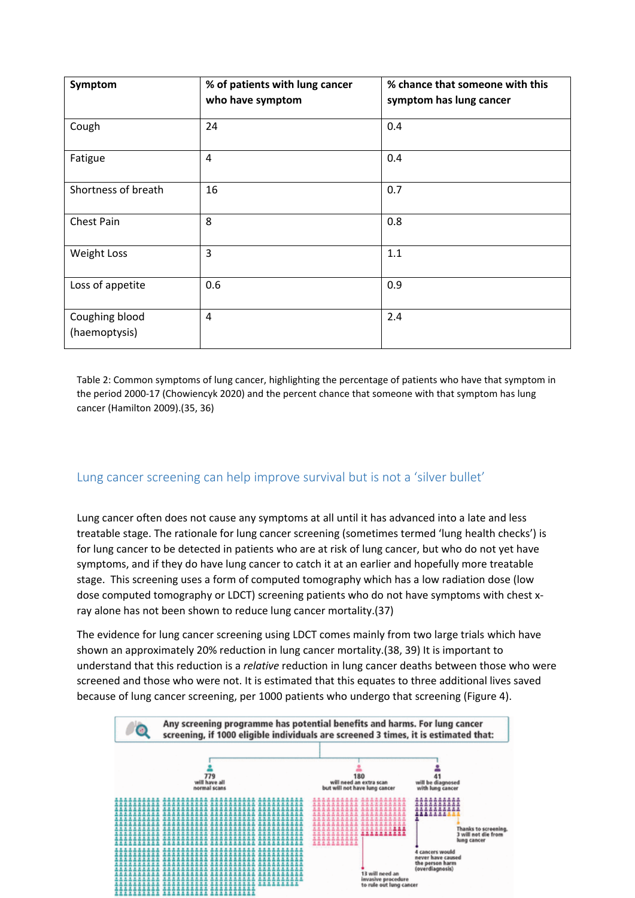| Symptom                         | % of patients with lung cancer<br>who have symptom | % chance that someone with this<br>symptom has lung cancer |
|---------------------------------|----------------------------------------------------|------------------------------------------------------------|
| Cough                           | 24                                                 | 0.4                                                        |
| Fatigue                         | $\overline{4}$                                     | 0.4                                                        |
| Shortness of breath             | 16                                                 | 0.7                                                        |
| Chest Pain                      | 8                                                  | 0.8                                                        |
| <b>Weight Loss</b>              | 3                                                  | 1.1                                                        |
| Loss of appetite                | 0.6                                                | 0.9                                                        |
| Coughing blood<br>(haemoptysis) | $\overline{4}$                                     | 2.4                                                        |

Table 2: Common symptoms of lung cancer, highlighting the percentage of patients who have that symptom in the period 2000-17 (Chowiencyk 2020) and the percent chance that someone with that symptom has lung cancer (Hamilton 2009).(35, 36)

## <span id="page-8-0"></span>Lung cancer screening can help improve survival but is not a 'silver bullet'

Lung cancer often does not cause any symptoms at all until it has advanced into a late and less treatable stage. The rationale for lung cancer screening (sometimes termed 'lung health checks') is for lung cancer to be detected in patients who are at risk of lung cancer, but who do not yet have symptoms, and if they do have lung cancer to catch it at an earlier and hopefully more treatable stage. This screening uses a form of computed tomography which has a low radiation dose (low dose computed tomography or LDCT) screening patients who do not have symptoms with chest xray alone has not been shown to reduce lung cancer mortality.(37)

The evidence for lung cancer screening using LDCT comes mainly from two large trials which have shown an approximately 20% reduction in lung cancer mortality.(38, 39) It is important to understand that this reduction is a *relative* reduction in lung cancer deaths between those who were screened and those who were not. It is estimated that this equates to three additional lives saved because of lung cancer screening, per 1000 patients who undergo that screening (Figure 4).

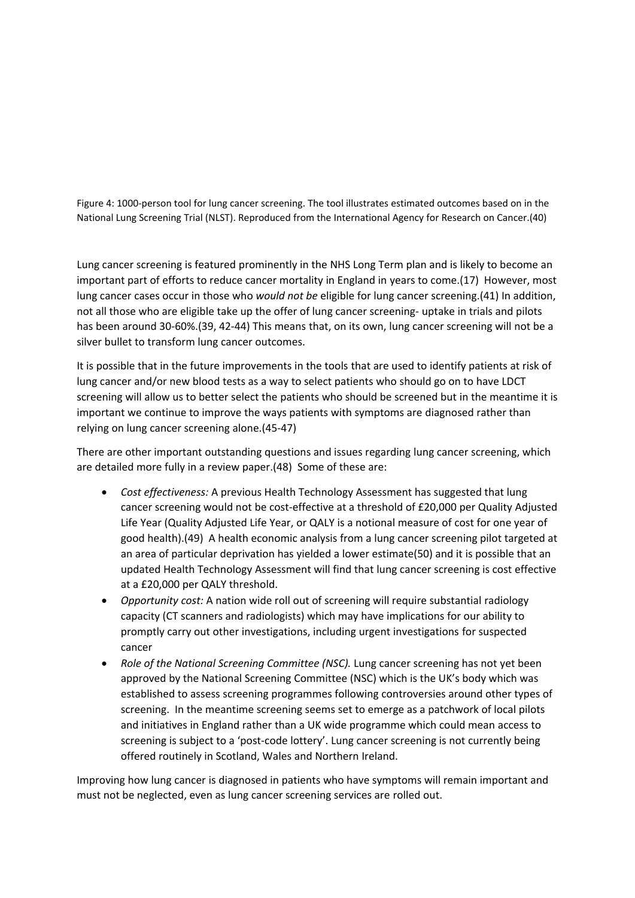Figure 4: 1000-person tool for lung cancer screening. The tool illustrates estimated outcomes based on in the National Lung Screening Trial (NLST). Reproduced from the International Agency for Research on Cancer.(40)

Lung cancer screening is featured prominently in the NHS Long Term plan and is likely to become an important part of efforts to reduce cancer mortality in England in years to come.(17) However, most lung cancer cases occur in those who *would not be* eligible for lung cancer screening.(41) In addition, not all those who are eligible take up the offer of lung cancer screening- uptake in trials and pilots has been around 30-60%.(39, 42-44) This means that, on its own, lung cancer screening will not be a silver bullet to transform lung cancer outcomes.

It is possible that in the future improvements in the tools that are used to identify patients at risk of lung cancer and/or new blood tests as a way to select patients who should go on to have LDCT screening will allow us to better select the patients who should be screened but in the meantime it is important we continue to improve the ways patients with symptoms are diagnosed rather than relying on lung cancer screening alone.(45-47)

There are other important outstanding questions and issues regarding lung cancer screening, which are detailed more fully in a review paper.(48) Some of these are:

- *Cost effectiveness:* A previous Health Technology Assessment has suggested that lung cancer screening would not be cost-effective at a threshold of £20,000 per Quality Adjusted Life Year (Quality Adjusted Life Year, or QALY is a notional measure of cost for one year of good health).(49) A health economic analysis from a lung cancer screening pilot targeted at an area of particular deprivation has yielded a lower estimate(50) and it is possible that an updated Health Technology Assessment will find that lung cancer screening is cost effective at a £20,000 per QALY threshold.
- *Opportunity cost:* A nation wide roll out of screening will require substantial radiology capacity (CT scanners and radiologists) which may have implications for our ability to promptly carry out other investigations, including urgent investigations for suspected cancer
- *Role of the National Screening Committee (NSC).* Lung cancer screening has not yet been approved by the National Screening Committee (NSC) which is the UK's body which was established to assess screening programmes following controversies around other types of screening. In the meantime screening seems set to emerge as a patchwork of local pilots and initiatives in England rather than a UK wide programme which could mean access to screening is subject to a 'post-code lottery'. Lung cancer screening is not currently being offered routinely in Scotland, Wales and Northern Ireland.

Improving how lung cancer is diagnosed in patients who have symptoms will remain important and must not be neglected, even as lung cancer screening services are rolled out.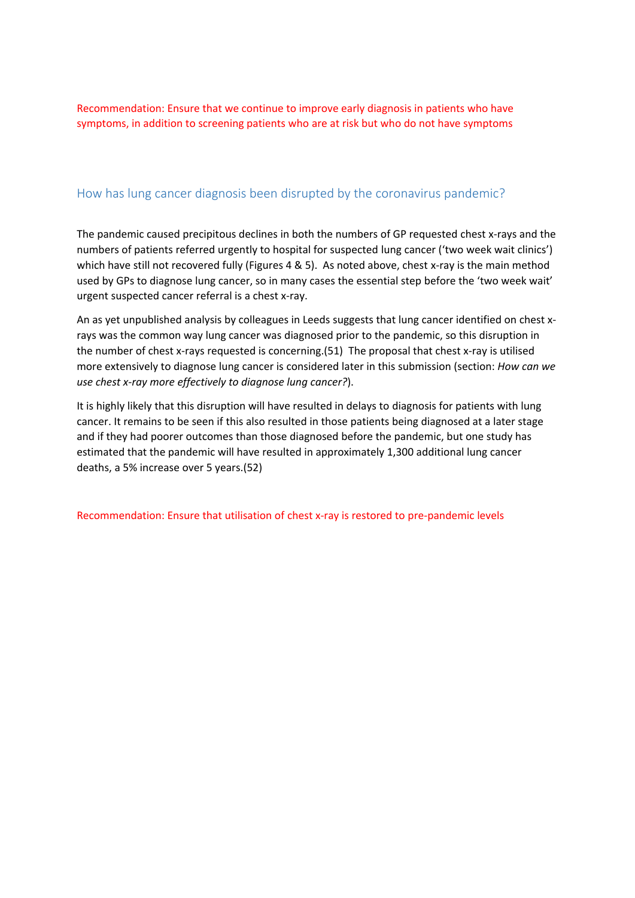Recommendation: Ensure that we continue to improve early diagnosis in patients who have symptoms, in addition to screening patients who are at risk but who do not have symptoms

### <span id="page-10-0"></span>How has lung cancer diagnosis been disrupted by the coronavirus pandemic?

The pandemic caused precipitous declines in both the numbers of GP requested chest x-rays and the numbers of patients referred urgently to hospital for suspected lung cancer ('two week wait clinics') which have still not recovered fully (Figures 4 & 5). As noted above, chest x-ray is the main method used by GPs to diagnose lung cancer, so in many cases the essential step before the 'two week wait' urgent suspected cancer referral is a chest x-ray.

An as yet unpublished analysis by colleagues in Leeds suggests that lung cancer identified on chest xrays was the common way lung cancer was diagnosed prior to the pandemic, so this disruption in the number of chest x-rays requested is concerning.(51) The proposal that chest x-ray is utilised more extensively to diagnose lung cancer is considered later in this submission (section: *How can we use chest x-ray more effectively to diagnose lung cancer?*).

It is highly likely that this disruption will have resulted in delays to diagnosis for patients with lung cancer. It remains to be seen if this also resulted in those patients being diagnosed at a later stage and if they had poorer outcomes than those diagnosed before the pandemic, but one study has estimated that the pandemic will have resulted in approximately 1,300 additional lung cancer deaths, a 5% increase over 5 years.(52)

Recommendation: Ensure that utilisation of chest x-ray is restored to pre-pandemic levels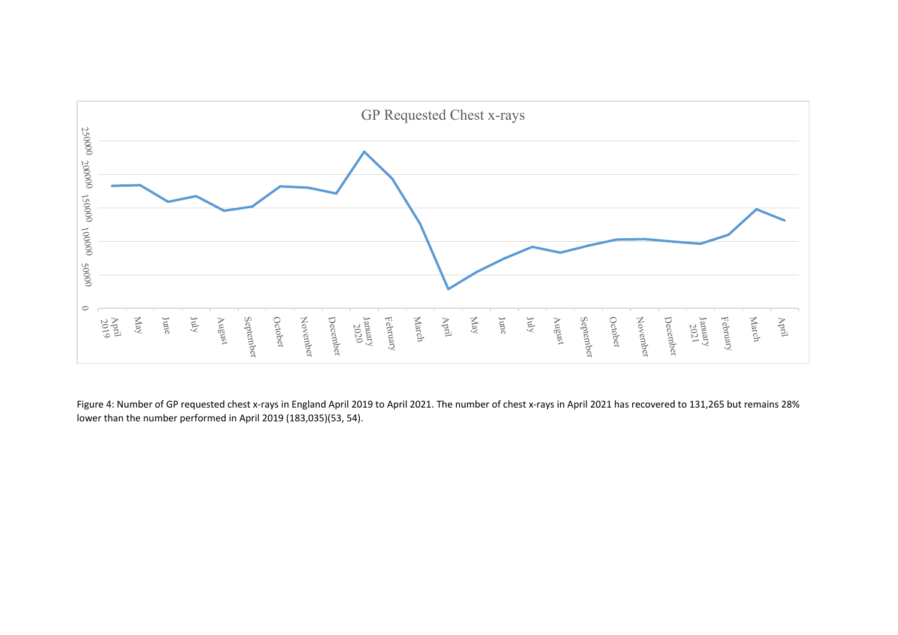

Figure 4: Number of GP requested chest x-rays in England April 2019 to April 2021. The number of chest x-rays in April 2021 has recovered to 131,265 but remains 28% lower than the number performed in April 2019 (183,035)(53, 54).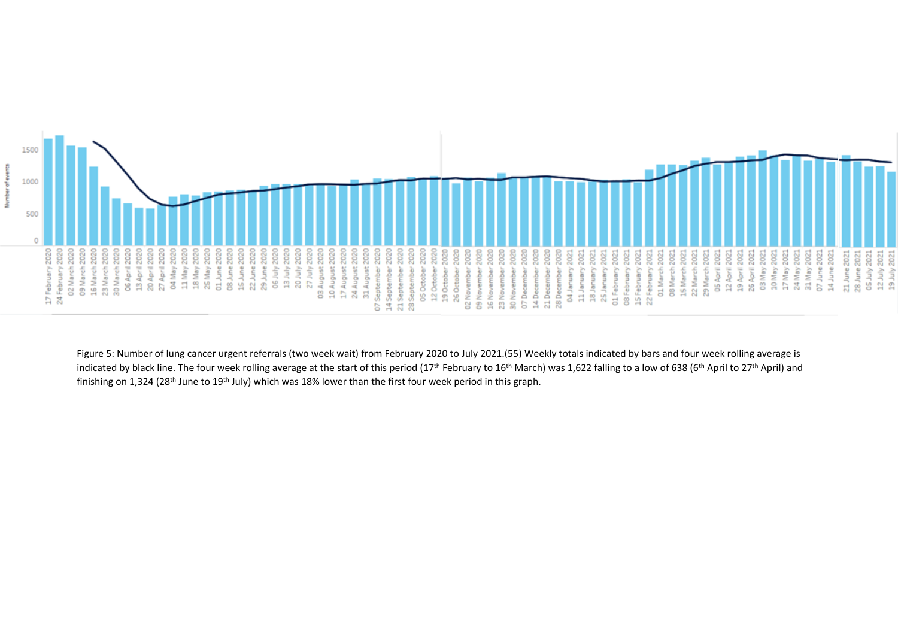

Figure 5: Number of lung cancer urgent referrals (two week wait) from February 2020 to July 2021.(55) Weekly totals indicated by bars and four week rolling average is indicated by black line. The four week rolling average at the start of this period (17<sup>th</sup> February to 16<sup>th</sup> March) was 1,622 falling to a low of 638 (6<sup>th</sup> April to 27<sup>th</sup> April) and finishing on 1,324 (28<sup>th</sup> June to 19<sup>th</sup> July) which was 18% lower than the first four week period in this graph.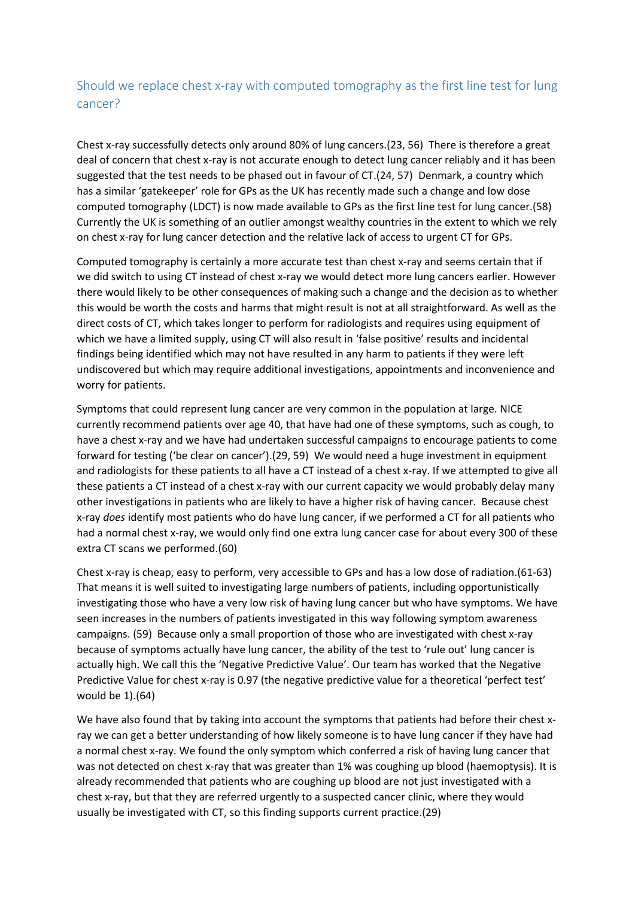# <span id="page-13-0"></span>Should we replace chest x-ray with computed tomography as the first line test for lung cancer?

Chest x-ray successfully detects only around 80% of lung cancers.(23, 56) There is therefore a great deal of concern that chest x-ray is not accurate enough to detect lung cancer reliably and it has been suggested that the test needs to be phased out in favour of CT.(24, 57) Denmark, a country which has a similar 'gatekeeper' role for GPs as the UK has recently made such a change and low dose computed tomography (LDCT) is now made available to GPs as the first line test for lung cancer.(58) Currently the UK is something of an outlier amongst wealthy countries in the extent to which we rely on chest x-ray for lung cancer detection and the relative lack of access to urgent CT for GPs.

Computed tomography is certainly a more accurate test than chest x-ray and seems certain that if we did switch to using CT instead of chest x-ray we would detect more lung cancers earlier. However there would likely to be other consequences of making such a change and the decision as to whether this would be worth the costs and harms that might result is not at all straightforward. As well as the direct costs of CT, which takes longer to perform for radiologists and requires using equipment of which we have a limited supply, using CT will also result in 'false positive' results and incidental findings being identified which may not have resulted in any harm to patients if they were left undiscovered but which may require additional investigations, appointments and inconvenience and worry for patients.

Symptoms that could represent lung cancer are very common in the population at large. NICE currently recommend patients over age 40, that have had one of these symptoms, such as cough, to have a chest x-ray and we have had undertaken successful campaigns to encourage patients to come forward for testing ('be clear on cancer').(29, 59) We would need a huge investment in equipment and radiologists for these patients to all have a CT instead of a chest x-ray. If we attempted to give all these patients a CT instead of a chest x-ray with our current capacity we would probably delay many other investigations in patients who are likely to have a higher risk of having cancer. Because chest x-ray *does* identify most patients who do have lung cancer, if we performed a CT for all patients who had a normal chest x-ray, we would only find one extra lung cancer case for about every 300 of these extra CT scans we performed.(60)

Chest x-ray is cheap, easy to perform, very accessible to GPs and has a low dose of radiation.(61-63) That means it is well suited to investigating large numbers of patients, including opportunistically investigating those who have a very low risk of having lung cancer but who have symptoms. We have seen increases in the numbers of patients investigated in this way following symptom awareness campaigns. (59) Because only a small proportion of those who are investigated with chest x-ray because of symptoms actually have lung cancer, the ability of the test to 'rule out' lung cancer is actually high. We call this the 'Negative Predictive Value'. Our team has worked that the Negative Predictive Value for chest x-ray is 0.97 (the negative predictive value for a theoretical 'perfect test' would be 1).(64)

We have also found that by taking into account the symptoms that patients had before their chest xray we can get a better understanding of how likely someone is to have lung cancer if they have had a normal chest x-ray. We found the only symptom which conferred a risk of having lung cancer that was not detected on chest x-ray that was greater than 1% was coughing up blood (haemoptysis). It is already recommended that patients who are coughing up blood are not just investigated with a chest x-ray, but that they are referred urgently to a suspected cancer clinic, where they would usually be investigated with CT, so this finding supports current practice.(29)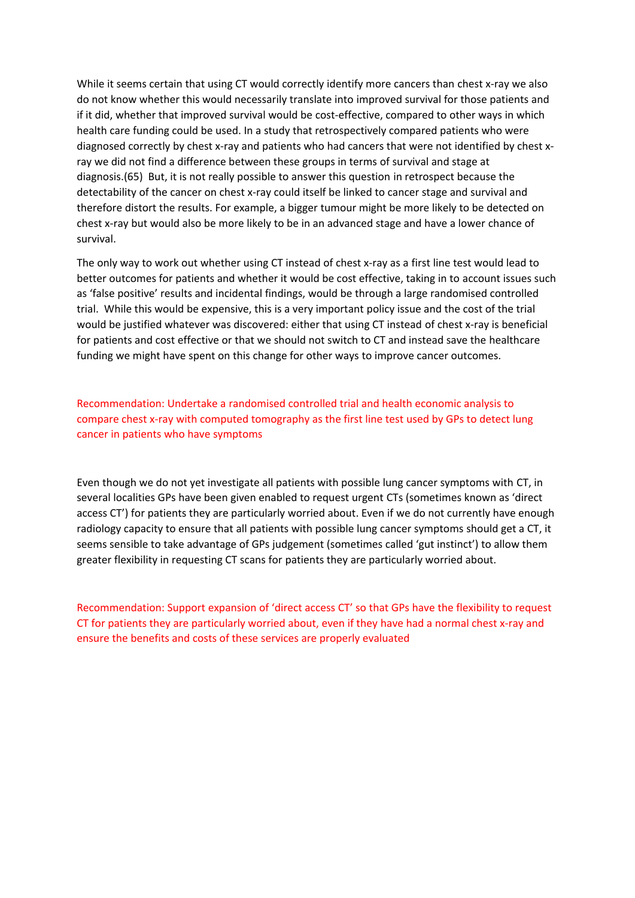While it seems certain that using CT would correctly identify more cancers than chest x-ray we also do not know whether this would necessarily translate into improved survival for those patients and if it did, whether that improved survival would be cost-effective, compared to other ways in which health care funding could be used. In a study that retrospectively compared patients who were diagnosed correctly by chest x-ray and patients who had cancers that were not identified by chest xray we did not find a difference between these groups in terms of survival and stage at diagnosis.(65) But, it is not really possible to answer this question in retrospect because the detectability of the cancer on chest x-ray could itself be linked to cancer stage and survival and therefore distort the results. For example, a bigger tumour might be more likely to be detected on chest x-ray but would also be more likely to be in an advanced stage and have a lower chance of survival.

The only way to work out whether using CT instead of chest x-ray as a first line test would lead to better outcomes for patients and whether it would be cost effective, taking in to account issues such as 'false positive' results and incidental findings, would be through a large randomised controlled trial. While this would be expensive, this is a very important policy issue and the cost of the trial would be justified whatever was discovered: either that using CT instead of chest x-ray is beneficial for patients and cost effective or that we should not switch to CT and instead save the healthcare funding we might have spent on this change for other ways to improve cancer outcomes.

Recommendation: Undertake a randomised controlled trial and health economic analysis to compare chest x-ray with computed tomography as the first line test used by GPs to detect lung cancer in patients who have symptoms

Even though we do not yet investigate all patients with possible lung cancer symptoms with CT, in several localities GPs have been given enabled to request urgent CTs (sometimes known as 'direct access CT') for patients they are particularly worried about. Even if we do not currently have enough radiology capacity to ensure that all patients with possible lung cancer symptoms should get a CT, it seems sensible to take advantage of GPs judgement (sometimes called 'gut instinct') to allow them greater flexibility in requesting CT scans for patients they are particularly worried about.

Recommendation: Support expansion of 'direct access CT' so that GPs have the flexibility to request CT for patients they are particularly worried about, even if they have had a normal chest x-ray and ensure the benefits and costs of these services are properly evaluated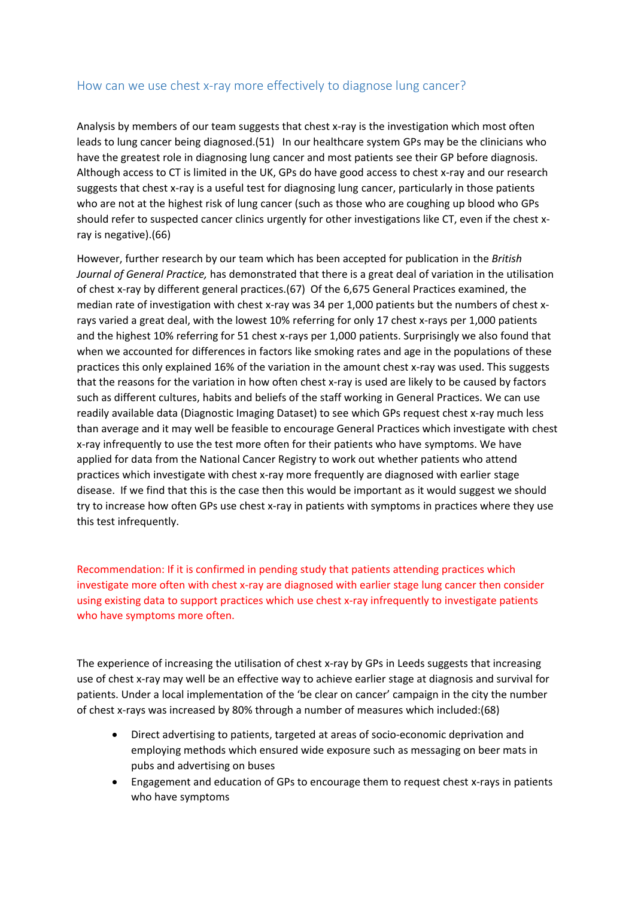### <span id="page-15-0"></span>How can we use chest x-ray more effectively to diagnose lung cancer?

Analysis by members of our team suggests that chest x-ray is the investigation which most often leads to lung cancer being diagnosed.(51) In our healthcare system GPs may be the clinicians who have the greatest role in diagnosing lung cancer and most patients see their GP before diagnosis. Although access to CT is limited in the UK, GPs do have good access to chest x-ray and our research suggests that chest x-ray is a useful test for diagnosing lung cancer, particularly in those patients who are not at the highest risk of lung cancer (such as those who are coughing up blood who GPs should refer to suspected cancer clinics urgently for other investigations like CT, even if the chest xray is negative).(66)

However, further research by our team which has been accepted for publication in the *British Journal of General Practice,* has demonstrated that there is a great deal of variation in the utilisation of chest x-ray by different general practices.(67) Of the 6,675 General Practices examined, the median rate of investigation with chest x-ray was 34 per 1,000 patients but the numbers of chest xrays varied a great deal, with the lowest 10% referring for only 17 chest x-rays per 1,000 patients and the highest 10% referring for 51 chest x-rays per 1,000 patients. Surprisingly we also found that when we accounted for differences in factors like smoking rates and age in the populations of these practices this only explained 16% of the variation in the amount chest x-ray was used. This suggests that the reasons for the variation in how often chest x-ray is used are likely to be caused by factors such as different cultures, habits and beliefs of the staff working in General Practices. We can use readily available data (Diagnostic Imaging Dataset) to see which GPs request chest x-ray much less than average and it may well be feasible to encourage General Practices which investigate with chest x-ray infrequently to use the test more often for their patients who have symptoms. We have applied for data from the National Cancer Registry to work out whether patients who attend practices which investigate with chest x-ray more frequently are diagnosed with earlier stage disease. If we find that this is the case then this would be important as it would suggest we should try to increase how often GPs use chest x-ray in patients with symptoms in practices where they use this test infrequently.

Recommendation: If it is confirmed in pending study that patients attending practices which investigate more often with chest x-ray are diagnosed with earlier stage lung cancer then consider using existing data to support practices which use chest x-ray infrequently to investigate patients who have symptoms more often.

The experience of increasing the utilisation of chest x-ray by GPs in Leeds suggests that increasing use of chest x-ray may well be an effective way to achieve earlier stage at diagnosis and survival for patients. Under a local implementation of the 'be clear on cancer' campaign in the city the number of chest x-rays was increased by 80% through a number of measures which included:(68)

- Direct advertising to patients, targeted at areas of socio-economic deprivation and employing methods which ensured wide exposure such as messaging on beer mats in pubs and advertising on buses
- Engagement and education of GPs to encourage them to request chest x-rays in patients who have symptoms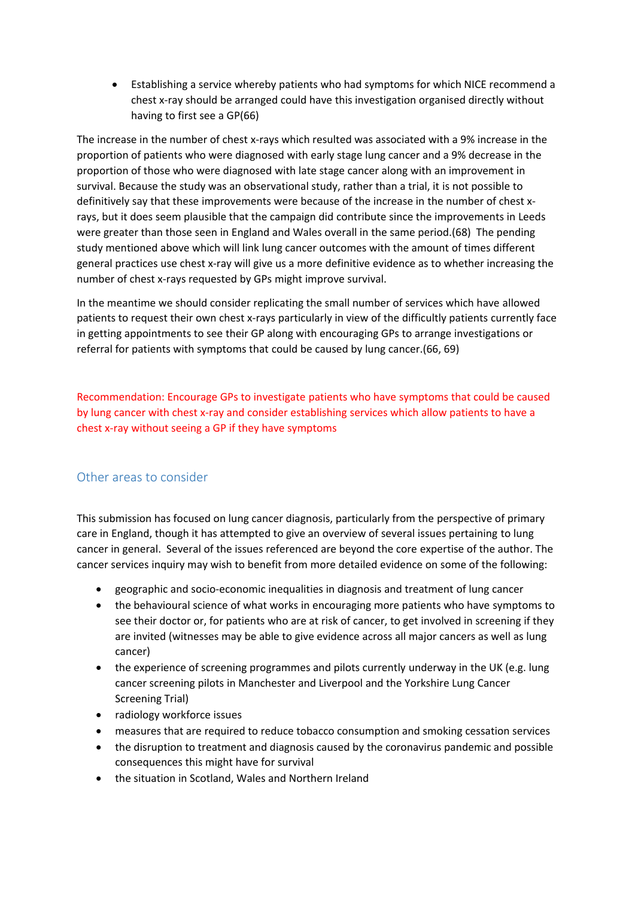Establishing a service whereby patients who had symptoms for which NICE recommend a chest x-ray should be arranged could have this investigation organised directly without having to first see a GP(66)

The increase in the number of chest x-rays which resulted was associated with a 9% increase in the proportion of patients who were diagnosed with early stage lung cancer and a 9% decrease in the proportion of those who were diagnosed with late stage cancer along with an improvement in survival. Because the study was an observational study, rather than a trial, it is not possible to definitively say that these improvements were because of the increase in the number of chest xrays, but it does seem plausible that the campaign did contribute since the improvements in Leeds were greater than those seen in England and Wales overall in the same period.(68) The pending study mentioned above which will link lung cancer outcomes with the amount of times different general practices use chest x-ray will give us a more definitive evidence as to whether increasing the number of chest x-rays requested by GPs might improve survival.

In the meantime we should consider replicating the small number of services which have allowed patients to request their own chest x-rays particularly in view of the difficultly patients currently face in getting appointments to see their GP along with encouraging GPs to arrange investigations or referral for patients with symptoms that could be caused by lung cancer.(66, 69)

Recommendation: Encourage GPs to investigate patients who have symptoms that could be caused by lung cancer with chest x-ray and consider establishing services which allow patients to have a chest x-ray without seeing a GP if they have symptoms

#### <span id="page-16-0"></span>Other areas to consider

This submission has focused on lung cancer diagnosis, particularly from the perspective of primary care in England, though it has attempted to give an overview of several issues pertaining to lung cancer in general. Several of the issues referenced are beyond the core expertise of the author. The cancer services inquiry may wish to benefit from more detailed evidence on some of the following:

- geographic and socio-economic inequalities in diagnosis and treatment of lung cancer
- the behavioural science of what works in encouraging more patients who have symptoms to see their doctor or, for patients who are at risk of cancer, to get involved in screening if they are invited (witnesses may be able to give evidence across all major cancers as well as lung cancer)
- the experience of screening programmes and pilots currently underway in the UK (e.g. lung cancer screening pilots in Manchester and Liverpool and the Yorkshire Lung Cancer Screening Trial)
- radiology workforce issues
- measures that are required to reduce tobacco consumption and smoking cessation services
- the disruption to treatment and diagnosis caused by the coronavirus pandemic and possible consequences this might have for survival
- the situation in Scotland, Wales and Northern Ireland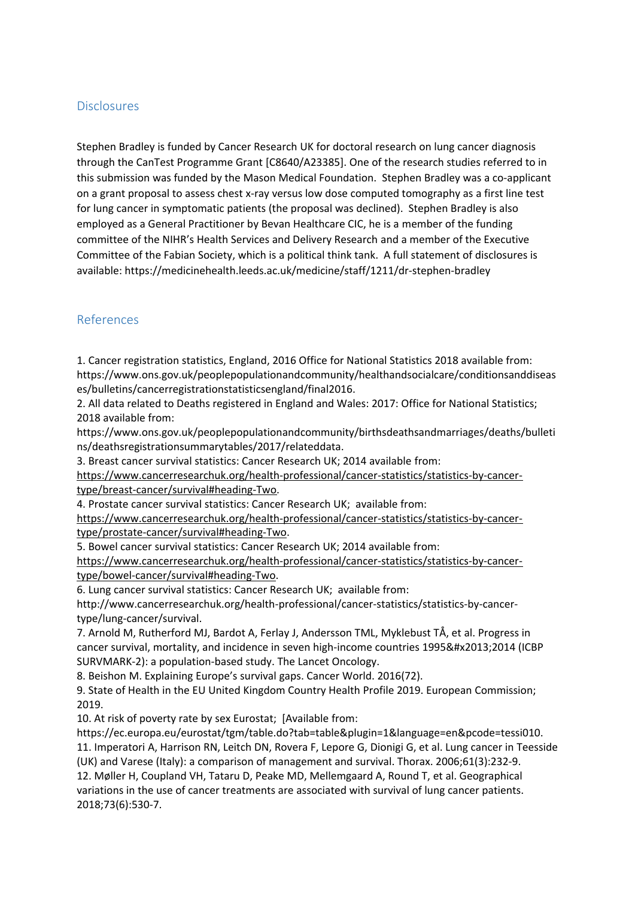### <span id="page-17-0"></span>Disclosures

Stephen Bradley is funded by Cancer Research UK for doctoral research on lung cancer diagnosis through the CanTest Programme Grant [C8640/A23385]. One of the research studies referred to in this submission was funded by the Mason Medical Foundation. Stephen Bradley was a co-applicant on a grant proposal to assess chest x-ray versus low dose computed tomography as a first line test for lung cancer in symptomatic patients (the proposal was declined). Stephen Bradley is also employed as a General Practitioner by Bevan Healthcare CIC, he is a member of the funding committee of the NIHR's Health Services and Delivery Research and a member of the Executive Committee of the Fabian Society, which is a political think tank. A full statement of disclosures is available: https://medicinehealth.leeds.ac.uk/medicine/staff/1211/dr-stephen-bradley

## <span id="page-17-1"></span>References

1. Cancer registration statistics, England, 2016 Office for National Statistics 2018 available from: https://www.ons.gov.uk/peoplepopulationandcommunity/healthandsocialcare/conditionsanddiseas es/bulletins/cancerregistrationstatisticsengland/final2016.

2. All data related to Deaths registered in England and Wales: 2017: Office for National Statistics; 2018 available from:

https://www.ons.gov.uk/peoplepopulationandcommunity/birthsdeathsandmarriages/deaths/bulleti ns/deathsregistrationsummarytables/2017/relateddata.

3. Breast cancer survival statistics: Cancer Research UK; 2014 available from:

https://www.cancerresearchuk.org/health-professional/cancer-statistics/statistics-by-cancertype/breast-cancer/survival#heading-Two.

4. Prostate cancer survival statistics: Cancer Research UK; available from:

https://www.cancerresearchuk.org/health-professional/cancer-statistics/statistics-by-cancertype/prostate-cancer/survival#heading-Two.

5. Bowel cancer survival statistics: Cancer Research UK; 2014 available from:

https://www.cancerresearchuk.org/health-professional/cancer-statistics/statistics-by-cancertype/bowel-cancer/survival#heading-Two.

6. Lung cancer survival statistics: Cancer Research UK; available from:

http://www.cancerresearchuk.org/health-professional/cancer-statistics/statistics-by-cancertype/lung-cancer/survival.

7. Arnold M, Rutherford MJ, Bardot A, Ferlay J, Andersson TML, Myklebust TÅ, et al. Progress in cancer survival, mortality, and incidence in seven high-income countries 1995–2014 (ICBP SURVMARK-2): a population-based study. The Lancet Oncology.

8. Beishon M. Explaining Europe's survival gaps. Cancer World. 2016(72).

9. State of Health in the EU United Kingdom Country Health Profile 2019. European Commission; 2019.

10. At risk of poverty rate by sex Eurostat; [Available from:

https://ec.europa.eu/eurostat/tgm/table.do?tab=table&plugin=1&language=en&pcode=tessi010. 11. Imperatori A, Harrison RN, Leitch DN, Rovera F, Lepore G, Dionigi G, et al. Lung cancer in Teesside (UK) and Varese (Italy): a comparison of management and survival. Thorax. 2006;61(3):232-9.

12. Møller H, Coupland VH, Tataru D, Peake MD, Mellemgaard A, Round T, et al. Geographical variations in the use of cancer treatments are associated with survival of lung cancer patients. 2018;73(6):530-7.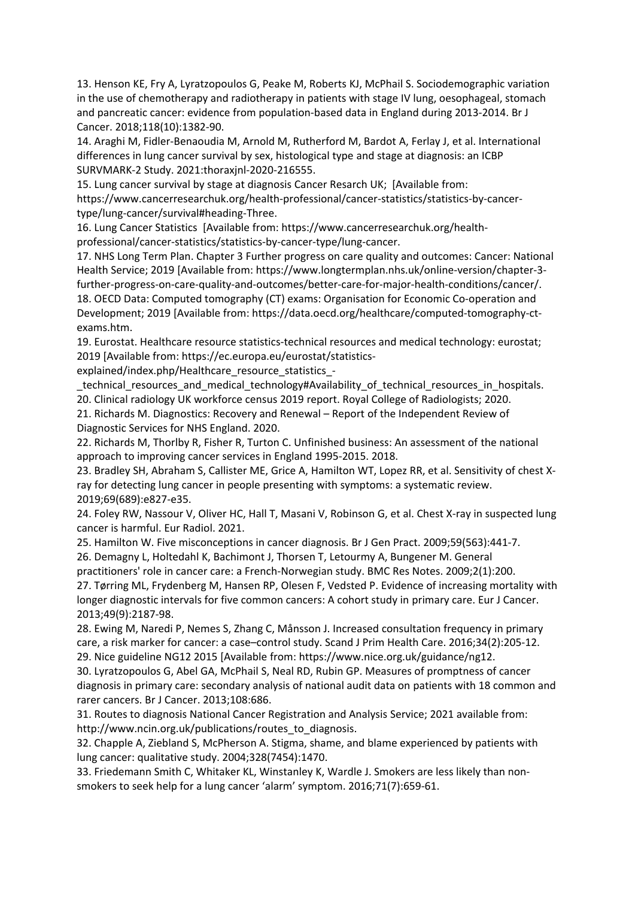13. Henson KE, Fry A, Lyratzopoulos G, Peake M, Roberts KJ, McPhail S. Sociodemographic variation in the use of chemotherapy and radiotherapy in patients with stage IV lung, oesophageal, stomach and pancreatic cancer: evidence from population-based data in England during 2013-2014. Br J Cancer. 2018;118(10):1382-90.

14. Araghi M, Fidler-Benaoudia M, Arnold M, Rutherford M, Bardot A, Ferlay J, et al. International differences in lung cancer survival by sex, histological type and stage at diagnosis: an ICBP SURVMARK-2 Study. 2021:thoraxjnl-2020-216555.

15. Lung cancer survival by stage at diagnosis Cancer Resarch UK; [Available from: https://www.cancerresearchuk.org/health-professional/cancer-statistics/statistics-by-cancertype/lung-cancer/survival#heading-Three.

16. Lung Cancer Statistics [Available from: https://www.cancerresearchuk.org/healthprofessional/cancer-statistics/statistics-by-cancer-type/lung-cancer.

17. NHS Long Term Plan. Chapter 3 Further progress on care quality and outcomes: Cancer: National Health Service; 2019 [Available from: https://www.longtermplan.nhs.uk/online-version/chapter-3 further-progress-on-care-quality-and-outcomes/better-care-for-major-health-conditions/cancer/. 18. OECD Data: Computed tomography (CT) exams: Organisation for Economic Co-operation and Development; 2019 [Available from: https://data.oecd.org/healthcare/computed-tomography-ctexams.htm.

19. Eurostat. Healthcare resource statistics-technical resources and medical technology: eurostat; 2019 [Available from: https://ec.europa.eu/eurostat/statistics-

explained/index.php/Healthcare\_resource\_statistics -

\_technical\_resources\_and\_medical\_technology#Availability\_of\_technical\_resources\_in\_hospitals.

20. Clinical radiology UK workforce census 2019 report. Royal College of Radiologists; 2020.

21. Richards M. Diagnostics: Recovery and Renewal – Report of the Independent Review of Diagnostic Services for NHS England. 2020.

22. Richards M, Thorlby R, Fisher R, Turton C. Unfinished business: An assessment of the national approach to improving cancer services in England 1995-2015. 2018.

23. Bradley SH, Abraham S, Callister ME, Grice A, Hamilton WT, Lopez RR, et al. Sensitivity of chest Xray for detecting lung cancer in people presenting with symptoms: a systematic review. 2019;69(689):e827-e35.

24. Foley RW, Nassour V, Oliver HC, Hall T, Masani V, Robinson G, et al. Chest X-ray in suspected lung cancer is harmful. Eur Radiol. 2021.

25. Hamilton W. Five misconceptions in cancer diagnosis. Br J Gen Pract. 2009;59(563):441-7. 26. Demagny L, Holtedahl K, Bachimont J, Thorsen T, Letourmy A, Bungener M. General

practitioners' role in cancer care: a French-Norwegian study. BMC Res Notes. 2009;2(1):200.

27. Tørring ML, Frydenberg M, Hansen RP, Olesen F, Vedsted P. Evidence of increasing mortality with longer diagnostic intervals for five common cancers: A cohort study in primary care. Eur J Cancer. 2013;49(9):2187-98.

28. Ewing M, Naredi P, Nemes S, Zhang C, Månsson J. Increased consultation frequency in primary care, a risk marker for cancer: a case–control study. Scand J Prim Health Care. 2016;34(2):205-12. 29. Nice guideline NG12 2015 [Available from: https://www.nice.org.uk/guidance/ng12.

30. Lyratzopoulos G, Abel GA, McPhail S, Neal RD, Rubin GP. Measures of promptness of cancer diagnosis in primary care: secondary analysis of national audit data on patients with 18 common and rarer cancers. Br J Cancer. 2013;108:686.

31. Routes to diagnosis National Cancer Registration and Analysis Service; 2021 available from: http://www.ncin.org.uk/publications/routes\_to\_diagnosis.

32. Chapple A, Ziebland S, McPherson A. Stigma, shame, and blame experienced by patients with lung cancer: qualitative study. 2004;328(7454):1470.

33. Friedemann Smith C, Whitaker KL, Winstanley K, Wardle J. Smokers are less likely than nonsmokers to seek help for a lung cancer 'alarm' symptom. 2016;71(7):659-61.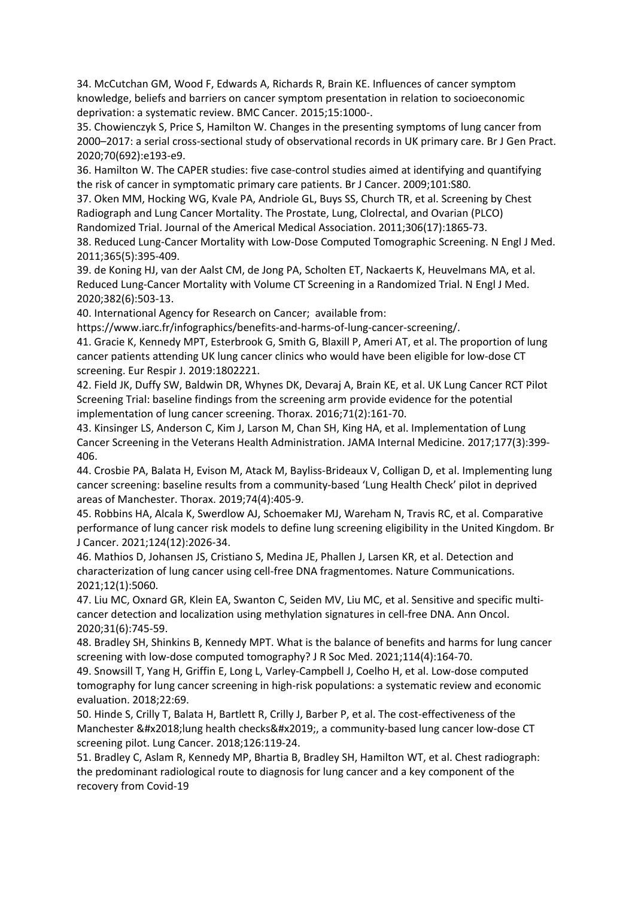34. McCutchan GM, Wood F, Edwards A, Richards R, Brain KE. Influences of cancer symptom knowledge, beliefs and barriers on cancer symptom presentation in relation to socioeconomic deprivation: a systematic review. BMC Cancer. 2015;15:1000-.

35. Chowienczyk S, Price S, Hamilton W. Changes in the presenting symptoms of lung cancer from 2000–2017: a serial cross-sectional study of observational records in UK primary care. Br J Gen Pract. 2020;70(692):e193-e9.

36. Hamilton W. The CAPER studies: five case-control studies aimed at identifying and quantifying the risk of cancer in symptomatic primary care patients. Br J Cancer. 2009;101:S80.

37. Oken MM, Hocking WG, Kvale PA, Andriole GL, Buys SS, Church TR, et al. Screening by Chest Radiograph and Lung Cancer Mortality. The Prostate, Lung, Clolrectal, and Ovarian (PLCO) Randomized Trial. Journal of the Americal Medical Association. 2011;306(17):1865-73.

38. Reduced Lung-Cancer Mortality with Low-Dose Computed Tomographic Screening. N Engl J Med. 2011;365(5):395-409.

39. de Koning HJ, van der Aalst CM, de Jong PA, Scholten ET, Nackaerts K, Heuvelmans MA, et al. Reduced Lung-Cancer Mortality with Volume CT Screening in a Randomized Trial. N Engl J Med. 2020;382(6):503-13.

40. International Agency for Research on Cancer; available from:

https://www.iarc.fr/infographics/benefits-and-harms-of-lung-cancer-screening/.

41. Gracie K, Kennedy MPT, Esterbrook G, Smith G, Blaxill P, Ameri AT, et al. The proportion of lung cancer patients attending UK lung cancer clinics who would have been eligible for low-dose CT screening. Eur Respir J. 2019:1802221.

42. Field JK, Duffy SW, Baldwin DR, Whynes DK, Devaraj A, Brain KE, et al. UK Lung Cancer RCT Pilot Screening Trial: baseline findings from the screening arm provide evidence for the potential implementation of lung cancer screening. Thorax. 2016;71(2):161-70.

43. Kinsinger LS, Anderson C, Kim J, Larson M, Chan SH, King HA, et al. Implementation of Lung Cancer Screening in the Veterans Health Administration. JAMA Internal Medicine. 2017;177(3):399- 406.

44. Crosbie PA, Balata H, Evison M, Atack M, Bayliss-Brideaux V, Colligan D, et al. Implementing lung cancer screening: baseline results from a community-based 'Lung Health Check' pilot in deprived areas of Manchester. Thorax. 2019;74(4):405-9.

45. Robbins HA, Alcala K, Swerdlow AJ, Schoemaker MJ, Wareham N, Travis RC, et al. Comparative performance of lung cancer risk models to define lung screening eligibility in the United Kingdom. Br J Cancer. 2021;124(12):2026-34.

46. Mathios D, Johansen JS, Cristiano S, Medina JE, Phallen J, Larsen KR, et al. Detection and characterization of lung cancer using cell-free DNA fragmentomes. Nature Communications. 2021;12(1):5060.

47. Liu MC, Oxnard GR, Klein EA, Swanton C, Seiden MV, Liu MC, et al. Sensitive and specific multicancer detection and localization using methylation signatures in cell-free DNA. Ann Oncol. 2020;31(6):745-59.

48. Bradley SH, Shinkins B, Kennedy MPT. What is the balance of benefits and harms for lung cancer screening with low-dose computed tomography? J R Soc Med. 2021;114(4):164-70.

49. Snowsill T, Yang H, Griffin E, Long L, Varley-Campbell J, Coelho H, et al. Low-dose computed tomography for lung cancer screening in high-risk populations: a systematic review and economic evaluation. 2018;22:69.

50. Hinde S, Crilly T, Balata H, Bartlett R, Crilly J, Barber P, et al. The cost-effectiveness of the Manchester 'lung health checks', a community-based lung cancer low-dose CT screening pilot. Lung Cancer. 2018;126:119-24.

51. Bradley C, Aslam R, Kennedy MP, Bhartia B, Bradley SH, Hamilton WT, et al. Chest radiograph: the predominant radiological route to diagnosis for lung cancer and a key component of the recovery from Covid-19